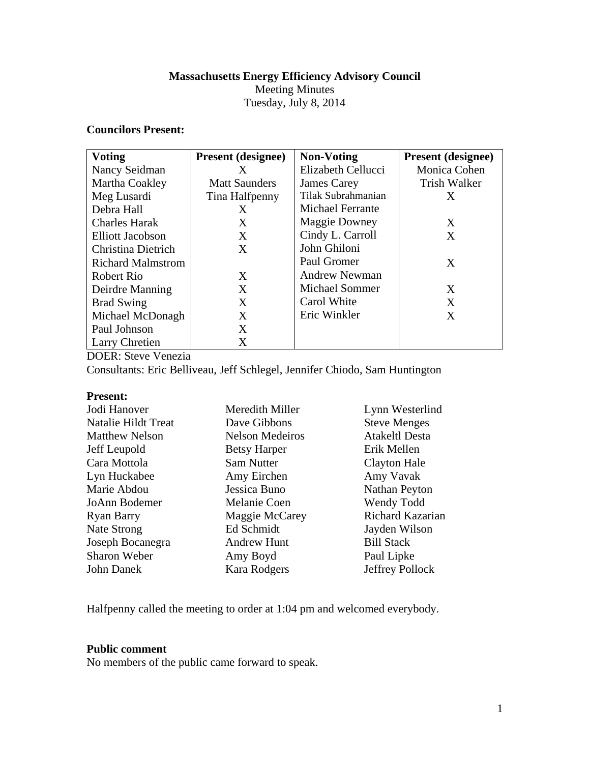# **Massachusetts Energy Efficiency Advisory Council**

Meeting Minutes Tuesday, July 8, 2014

### **Councilors Present:**

| <b>Voting</b>            | <b>Present</b> (designee) | <b>Non-Voting</b>       | <b>Present</b> (designee) |
|--------------------------|---------------------------|-------------------------|---------------------------|
| Nancy Seidman            | X                         | Elizabeth Cellucci      | Monica Cohen              |
| Martha Coakley           | <b>Matt Saunders</b>      | James Carey             | Trish Walker              |
| Meg Lusardi              | Tina Halfpenny            | Tilak Subrahmanian      | X                         |
| Debra Hall               | X                         | <b>Michael Ferrante</b> |                           |
| <b>Charles Harak</b>     | X                         | <b>Maggie Downey</b>    | X                         |
| Elliott Jacobson         | X                         | Cindy L. Carroll        | X                         |
| Christina Dietrich       | X                         | John Ghiloni            |                           |
| <b>Richard Malmstrom</b> |                           | Paul Gromer             | X                         |
| Robert Rio               | X                         | Andrew Newman           |                           |
| Deirdre Manning          | X                         | <b>Michael Sommer</b>   | X                         |
| <b>Brad Swing</b>        | X                         | Carol White             | X                         |
| Michael McDonagh         | X                         | Eric Winkler            | X                         |
| Paul Johnson             | X                         |                         |                           |
| <b>Larry Chretien</b>    | X                         |                         |                           |

DOER: Steve Venezia

Consultants: Eric Belliveau, Jeff Schlegel, Jennifer Chiodo, Sam Huntington

### **Present:**

| Jodi Hanover          | Meredith Miller        | Lynn Westerlind       |
|-----------------------|------------------------|-----------------------|
| Natalie Hildt Treat   | Dave Gibbons           | <b>Steve Menges</b>   |
| <b>Matthew Nelson</b> | <b>Nelson Medeiros</b> | <b>Atakeltl Desta</b> |
| Jeff Leupold          | <b>Betsy Harper</b>    | Erik Mellen           |
| Cara Mottola          | Sam Nutter             | Clayton Hale          |
| Lyn Huckabee          | Amy Eirchen            | Amy Vavak             |
| Marie Abdou           | Jessica Buno           | Nathan Peyton         |
| JoAnn Bodemer         | Melanie Coen           | Wendy Todd            |
| <b>Ryan Barry</b>     | Maggie McCarey         | Richard Kazarian      |
| Nate Strong           | Ed Schmidt             | Jayden Wilson         |
| Joseph Bocanegra      | <b>Andrew Hunt</b>     | <b>Bill Stack</b>     |
| Sharon Weber          | Amy Boyd               | Paul Lipke            |
| John Danek            | Kara Rodgers           | Jeffrey Pollock       |

Halfpenny called the meeting to order at 1:04 pm and welcomed everybody.

## **Public comment**

No members of the public came forward to speak.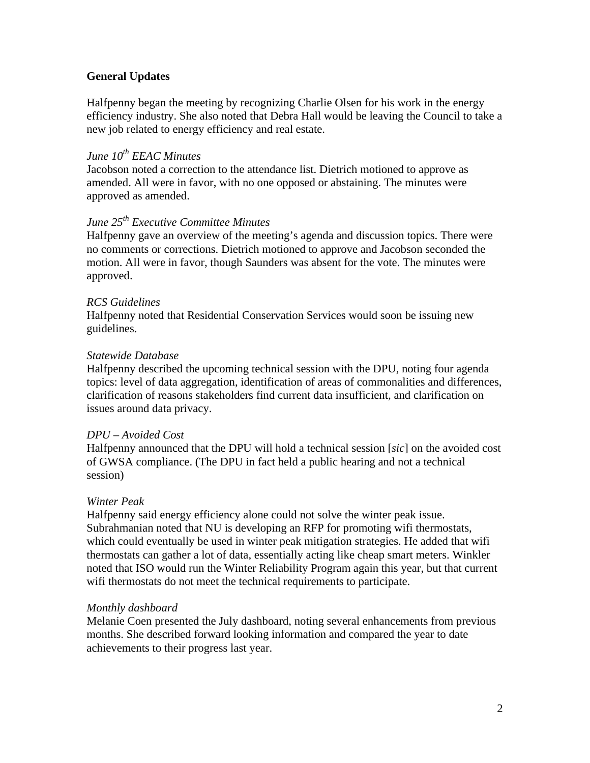## **General Updates**

Halfpenny began the meeting by recognizing Charlie Olsen for his work in the energy efficiency industry. She also noted that Debra Hall would be leaving the Council to take a new job related to energy efficiency and real estate.

## *June 10th EEAC Minutes*

Jacobson noted a correction to the attendance list. Dietrich motioned to approve as amended. All were in favor, with no one opposed or abstaining. The minutes were approved as amended.

# *June 25th Executive Committee Minutes*

Halfpenny gave an overview of the meeting's agenda and discussion topics. There were no comments or corrections. Dietrich motioned to approve and Jacobson seconded the motion. All were in favor, though Saunders was absent for the vote. The minutes were approved.

### *RCS Guidelines*

Halfpenny noted that Residential Conservation Services would soon be issuing new guidelines.

### *Statewide Database*

Halfpenny described the upcoming technical session with the DPU, noting four agenda topics: level of data aggregation, identification of areas of commonalities and differences, clarification of reasons stakeholders find current data insufficient, and clarification on issues around data privacy.

#### *DPU – Avoided Cost*

Halfpenny announced that the DPU will hold a technical session [*sic*] on the avoided cost of GWSA compliance. (The DPU in fact held a public hearing and not a technical session)

### *Winter Peak*

Halfpenny said energy efficiency alone could not solve the winter peak issue. Subrahmanian noted that NU is developing an RFP for promoting wifi thermostats, which could eventually be used in winter peak mitigation strategies. He added that wifi thermostats can gather a lot of data, essentially acting like cheap smart meters. Winkler noted that ISO would run the Winter Reliability Program again this year, but that current wifi thermostats do not meet the technical requirements to participate.

#### *Monthly dashboard*

Melanie Coen presented the July dashboard, noting several enhancements from previous months. She described forward looking information and compared the year to date achievements to their progress last year.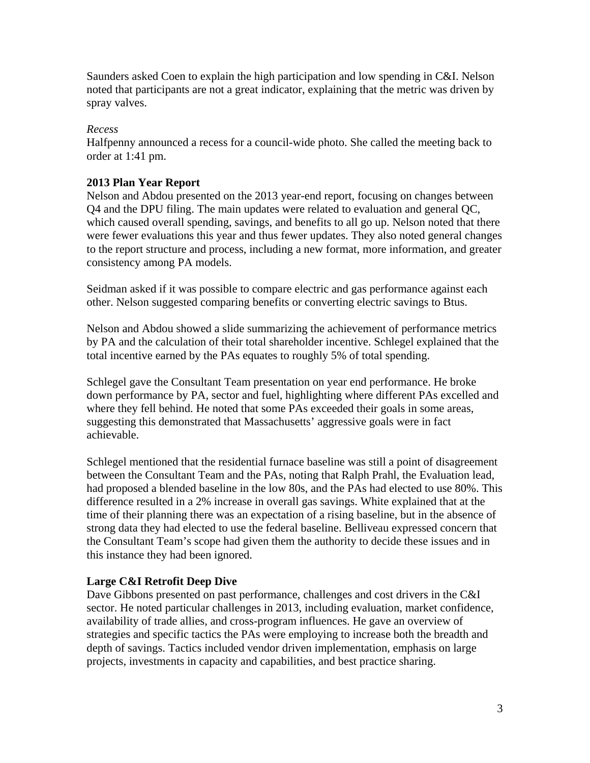Saunders asked Coen to explain the high participation and low spending in C&I. Nelson noted that participants are not a great indicator, explaining that the metric was driven by spray valves.

## *Recess*

Halfpenny announced a recess for a council-wide photo. She called the meeting back to order at 1:41 pm.

## **2013 Plan Year Report**

Nelson and Abdou presented on the 2013 year-end report, focusing on changes between Q4 and the DPU filing. The main updates were related to evaluation and general QC, which caused overall spending, savings, and benefits to all go up. Nelson noted that there were fewer evaluations this year and thus fewer updates. They also noted general changes to the report structure and process, including a new format, more information, and greater consistency among PA models.

Seidman asked if it was possible to compare electric and gas performance against each other. Nelson suggested comparing benefits or converting electric savings to Btus.

Nelson and Abdou showed a slide summarizing the achievement of performance metrics by PA and the calculation of their total shareholder incentive. Schlegel explained that the total incentive earned by the PAs equates to roughly 5% of total spending.

Schlegel gave the Consultant Team presentation on year end performance. He broke down performance by PA, sector and fuel, highlighting where different PAs excelled and where they fell behind. He noted that some PAs exceeded their goals in some areas, suggesting this demonstrated that Massachusetts' aggressive goals were in fact achievable.

Schlegel mentioned that the residential furnace baseline was still a point of disagreement between the Consultant Team and the PAs, noting that Ralph Prahl, the Evaluation lead, had proposed a blended baseline in the low 80s, and the PAs had elected to use 80%. This difference resulted in a 2% increase in overall gas savings. White explained that at the time of their planning there was an expectation of a rising baseline, but in the absence of strong data they had elected to use the federal baseline. Belliveau expressed concern that the Consultant Team's scope had given them the authority to decide these issues and in this instance they had been ignored.

### **Large C&I Retrofit Deep Dive**

Dave Gibbons presented on past performance, challenges and cost drivers in the C&I sector. He noted particular challenges in 2013, including evaluation, market confidence, availability of trade allies, and cross-program influences. He gave an overview of strategies and specific tactics the PAs were employing to increase both the breadth and depth of savings. Tactics included vendor driven implementation, emphasis on large projects, investments in capacity and capabilities, and best practice sharing.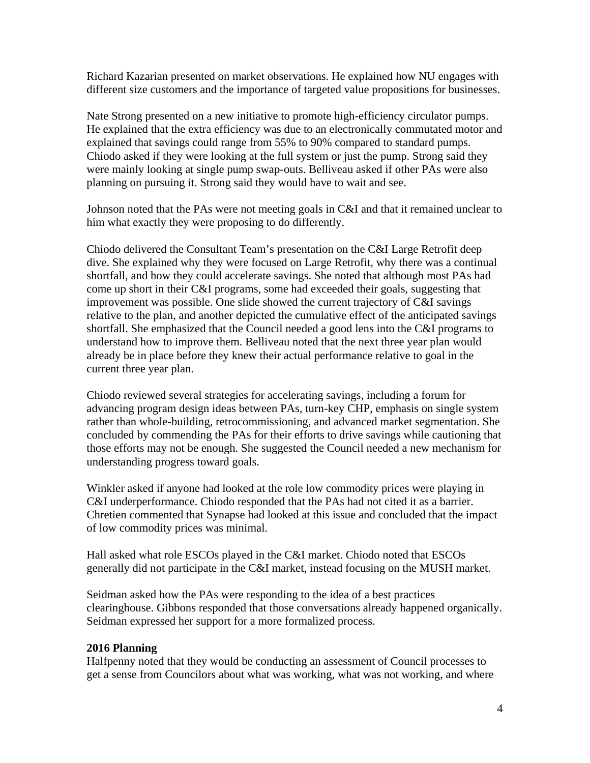Richard Kazarian presented on market observations. He explained how NU engages with different size customers and the importance of targeted value propositions for businesses.

Nate Strong presented on a new initiative to promote high-efficiency circulator pumps. He explained that the extra efficiency was due to an electronically commutated motor and explained that savings could range from 55% to 90% compared to standard pumps. Chiodo asked if they were looking at the full system or just the pump. Strong said they were mainly looking at single pump swap-outs. Belliveau asked if other PAs were also planning on pursuing it. Strong said they would have to wait and see.

Johnson noted that the PAs were not meeting goals in C&I and that it remained unclear to him what exactly they were proposing to do differently.

Chiodo delivered the Consultant Team's presentation on the C&I Large Retrofit deep dive. She explained why they were focused on Large Retrofit, why there was a continual shortfall, and how they could accelerate savings. She noted that although most PAs had come up short in their C&I programs, some had exceeded their goals, suggesting that improvement was possible. One slide showed the current trajectory of C&I savings relative to the plan, and another depicted the cumulative effect of the anticipated savings shortfall. She emphasized that the Council needed a good lens into the C&I programs to understand how to improve them. Belliveau noted that the next three year plan would already be in place before they knew their actual performance relative to goal in the current three year plan.

Chiodo reviewed several strategies for accelerating savings, including a forum for advancing program design ideas between PAs, turn-key CHP, emphasis on single system rather than whole-building, retrocommissioning, and advanced market segmentation. She concluded by commending the PAs for their efforts to drive savings while cautioning that those efforts may not be enough. She suggested the Council needed a new mechanism for understanding progress toward goals.

Winkler asked if anyone had looked at the role low commodity prices were playing in C&I underperformance. Chiodo responded that the PAs had not cited it as a barrier. Chretien commented that Synapse had looked at this issue and concluded that the impact of low commodity prices was minimal.

Hall asked what role ESCOs played in the C&I market. Chiodo noted that ESCOs generally did not participate in the C&I market, instead focusing on the MUSH market.

Seidman asked how the PAs were responding to the idea of a best practices clearinghouse. Gibbons responded that those conversations already happened organically. Seidman expressed her support for a more formalized process.

## **2016 Planning**

Halfpenny noted that they would be conducting an assessment of Council processes to get a sense from Councilors about what was working, what was not working, and where